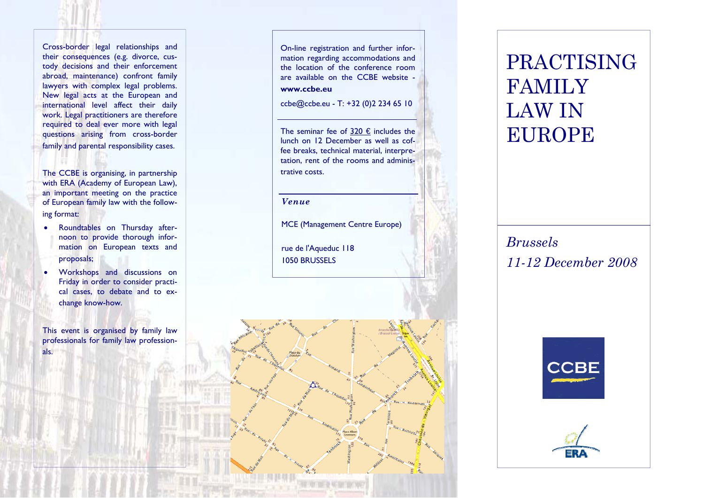Cross-border legal relationships and their consequences (e.g. divorce, custody decisions and their enforcement abroad, maintenance) confront family lawyers with complex legal problems. New legal acts at the European and international level affect their daily work. Legal practitioners are therefore required to deal ever more with legal questions arising from cross-border family and parental responsibility cases.

The CCBE is organising, in partnership with ERA (Academy of European Law), an important meeting on the practice of European family law with the following format:

- Roundtables on Thursday afternoon to provide thorough information on European texts and proposals;
- Workshops and discussions on Friday in order to consider practical cases, to debate and to exchange know-how.

This event is organised by family law professionals for family law professionals.

On-line registration and further information regarding accommodations and the location of the conference room are available on the CCBE website **www.ccbe.eu** 

ccbe@ccbe.eu - T: +32 (0)2 234 65 10

The seminar fee of  $320 \text{ } \in$  includes the lunch on 12 December as well as coffee breaks, technical material, interpretation, rent of the rooms and administrative costs.

*Venue* 

MCE (Management Centre Europe)

rue de l'Aqueduc 118 1050 BRUSSELS



*Brussels 11-12 December 2008*